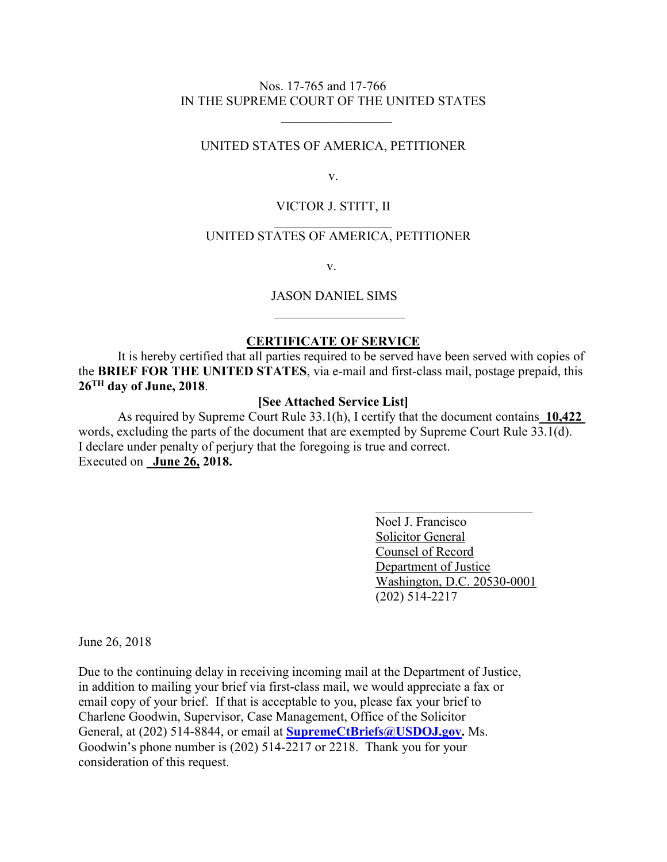## Nos. 17-765 and 17-766 IN THE SUPREME COURT OF THE UNITED STATES

 $\overline{\phantom{a}}$  , which is a set of the set of the set of the set of the set of the set of the set of the set of the set of the set of the set of the set of the set of the set of the set of the set of the set of the set of th

## UNITED STATES OF AMERICA, PETITIONER

v.

# VICTOR J. STITT, II  $\overline{\phantom{a}}$  . The set of the set of the set of the set of the set of the set of the set of the set of the set of the set of the set of the set of the set of the set of the set of the set of the set of the set of the set o

# UNITED STATES OF AMERICA, PETITIONER

v.

#### JASON DANIEL SIMS

### **CERTIFICATE OF SERVICE**

It is hereby certified that all parties required to be served have been served with copies of the **BRIEF FOR THE UNITED STATES**, via e-mail and first-class mail, postage prepaid, this **26TH day of June, 2018**.

#### **[See Attached Service List]**

As required by Supreme Court Rule 33.1(h), I certify that the document contains\_**10,422**  words, excluding the parts of the document that are exempted by Supreme Court Rule 33.1(d). I declare under penalty of perjury that the foregoing is true and correct. Executed on **June 26, 2018.** 

> Noel J. Francisco Solicitor General Counsel of Record Department of Justice Washington, D.C. 20530-0001 (202) 514-2217

June 26, 2018

Due to the continuing delay in receiving incoming mail at the Department of Justice, in addition to mailing your brief via first-class mail, we would appreciate a fax or email copy of your brief. If that is acceptable to you, please fax your brief to Charlene Goodwin, Supervisor, Case Management, Office of the Solicitor General, at (202) 514-8844, or email at **SupremeCtBriefs@USDOJ.gov.** Ms. Goodwin's phone number is (202) 514-2217 or 2218. Thank you for your consideration of this request.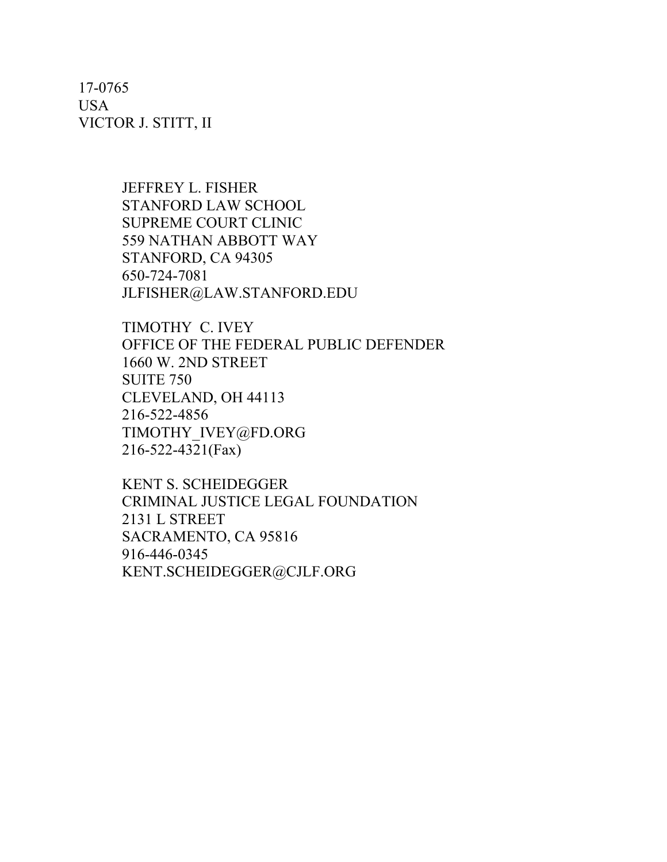17-0765 USA VICTOR J. STITT, II

> JEFFREY L. FISHER STANFORD LAW SCHOOL SUPREME COURT CLINIC 559 NATHAN ABBOTT WAY STANFORD, CA 94305 650-724-7081 JLFISHER@LAW.STANFORD.EDU

TIMOTHY C. IVEY OFFICE OF THE FEDERAL PUBLIC DEFENDER 1660 W. 2ND STREET SUITE 750 CLEVELAND, OH 44113 216-522-4856 TIMOTHY\_IVEY@FD.ORG 216-522-4321(Fax)

KENT S. SCHEIDEGGER CRIMINAL JUSTICE LEGAL FOUNDATION 2131 L STREET SACRAMENTO, CA 95816 916-446-0345 KENT.SCHEIDEGGER@CJLF.ORG